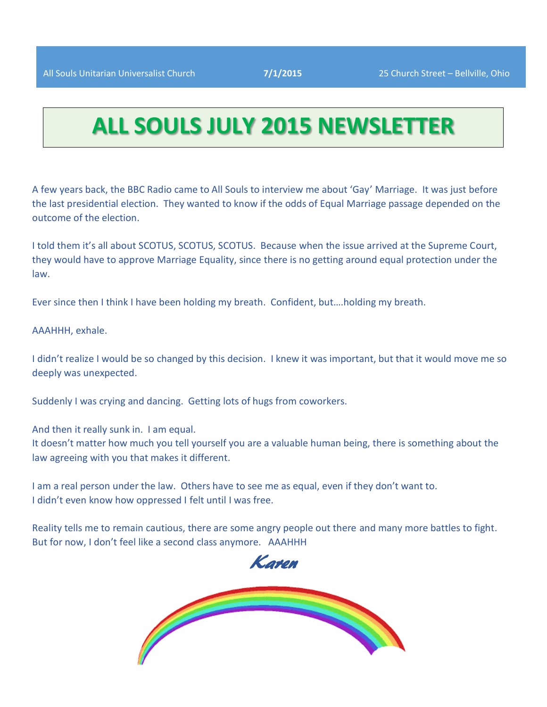# **ALL SOULS JULY 2015 NEWSLETTER**

A few years back, the BBC Radio came to All Souls to interview me about 'Gay' Marriage. It was just before the last presidential election. They wanted to know if the odds of Equal Marriage passage depended on the outcome of the election.

I told them it's all about SCOTUS, SCOTUS, SCOTUS. Because when the issue arrived at the Supreme Court, they would have to approve Marriage Equality, since there is no getting around equal protection under the law.

Ever since then I think I have been holding my breath. Confident, but….holding my breath.

AAAHHH, exhale.

I didn't realize I would be so changed by this decision. I knew it was important, but that it would move me so deeply was unexpected.

Suddenly I was crying and dancing. Getting lots of hugs from coworkers.

And then it really sunk in. I am equal.

It doesn't matter how much you tell yourself you are a valuable human being, there is something about the law agreeing with you that makes it different.

I am a real person under the law. Others have to see me as equal, even if they don't want to. I didn't even know how oppressed I felt until I was free.

Reality tells me to remain cautious, there are some angry people out there and many more battles to fight. But for now, I don't feel like a second class anymore. AAAHHH



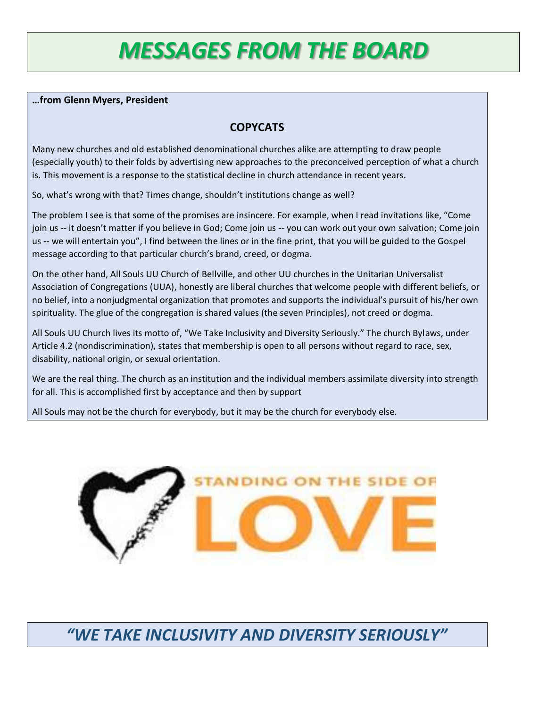# *MESSAGES FROM THE BOARD*

#### **…from Glenn Myers, President**

### **COPYCATS**

Many new churches and old established denominational churches alike are attempting to draw people (especially youth) to their folds by advertising new approaches to the preconceived perception of what a church is. This movement is a response to the statistical decline in church attendance in recent years.

So, what's wrong with that? Times change, shouldn't institutions change as well?

The problem I see is that some of the promises are insincere. For example, when I read invitations like, "Come join us -- it doesn't matter if you believe in God; Come join us -- you can work out your own salvation; Come join us -- we will entertain you", I find between the lines or in the fine print, that you will be guided to the Gospel message according to that particular church's brand, creed, or dogma.

On the other hand, All Souls UU Church of Bellville, and other UU churches in the Unitarian Universalist Association of Congregations (UUA), honestly are liberal churches that welcome people with different beliefs, or no belief, into a nonjudgmental organization that promotes and supports the individual's pursuit of his/her own spirituality. The glue of the congregation is shared values (the seven Principles), not creed or dogma.

All Souls UU Church lives its motto of, "We Take Inclusivity and Diversity Seriously." The church Bylaws, under Article 4.2 (nondiscrimination), states that membership is open to all persons without regard to race, sex, disability, national origin, or sexual orientation.

We are the real thing. The church as an institution and the individual members assimilate diversity into strength for all. This is accomplished first by acceptance and then by support

All Souls may not be the church for everybody, but it may be the church for everybody else.



*"WE TAKE INCLUSIVITY AND DIVERSITY SERIOUSLY"*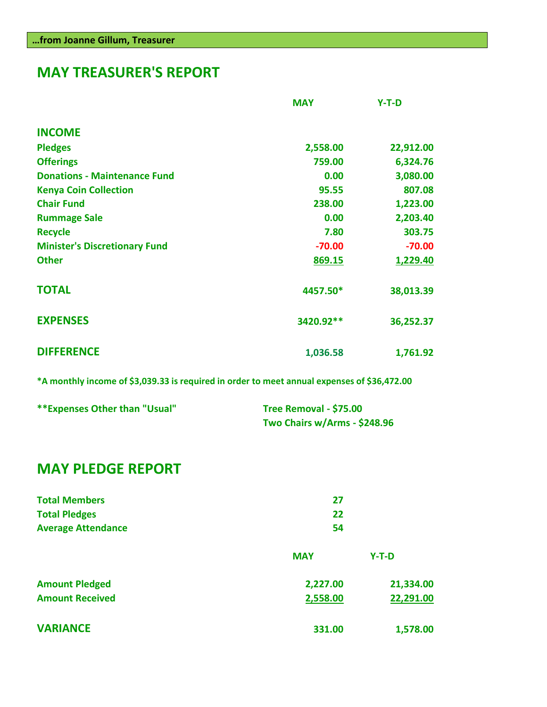## **MAY TREASURER'S REPORT**

|                                      | <b>MAY</b> | $Y-T-D$   |
|--------------------------------------|------------|-----------|
| <b>INCOME</b>                        |            |           |
| <b>Pledges</b>                       | 2,558.00   | 22,912.00 |
| <b>Offerings</b>                     | 759.00     | 6,324.76  |
| <b>Donations - Maintenance Fund</b>  | 0.00       | 3,080.00  |
| <b>Kenya Coin Collection</b>         | 95.55      | 807.08    |
| <b>Chair Fund</b>                    | 238.00     | 1,223.00  |
| <b>Rummage Sale</b>                  | 0.00       | 2,203.40  |
| <b>Recycle</b>                       | 7.80       | 303.75    |
| <b>Minister's Discretionary Fund</b> | $-70.00$   | $-70.00$  |
| <b>Other</b>                         | 869.15     | 1,229.40  |
| <b>TOTAL</b>                         | 4457.50*   | 38,013.39 |
| <b>EXPENSES</b>                      | 3420.92**  | 36,252.37 |
| <b>DIFFERENCE</b>                    | 1,036.58   | 1,761.92  |

**\*A monthly income of \$3,039.33 is required in order to meet annual expenses of \$36,472.00**

| **Expenses Other than "Usual" | Tree Removal - \$75.00       |  |
|-------------------------------|------------------------------|--|
|                               | Two Chairs w/Arms - \$248.96 |  |

## **MAY PLEDGE REPORT**

| <b>Total Members</b>      | 27<br>22   |           |
|---------------------------|------------|-----------|
| <b>Total Pledges</b>      |            |           |
| <b>Average Attendance</b> | 54         |           |
|                           | <b>MAY</b> | $Y-T-D$   |
| <b>Amount Pledged</b>     | 2,227.00   | 21,334.00 |
| <b>Amount Received</b>    | 2,558.00   | 22,291.00 |
| <b>VARIANCE</b>           | 331.00     | 1,578.00  |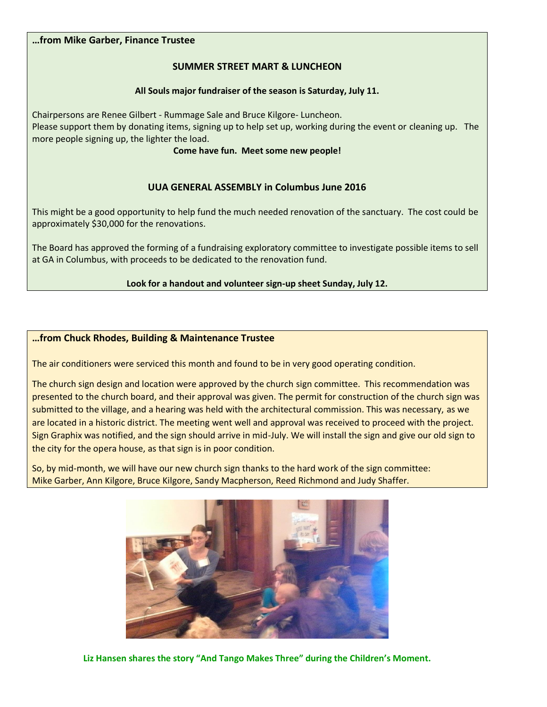#### **…from Mike Garber, Finance Trustee**

#### **SUMMER STREET MART & LUNCHEON**

#### **All Souls major fundraiser of the season is Saturday, July 11.**

Chairpersons are Renee Gilbert - Rummage Sale and Bruce Kilgore- Luncheon. Please support them by donating items, signing up to help set up, working during the event or cleaning up. The more people signing up, the lighter the load.

**Come have fun. Meet some new people!**

#### **UUA GENERAL ASSEMBLY in Columbus June 2016**

This might be a good opportunity to help fund the much needed renovation of the sanctuary. The cost could be approximately \$30,000 for the renovations.

The Board has approved the forming of a fundraising exploratory committee to investigate possible items to sell at GA in Columbus, with proceeds to be dedicated to the renovation fund.

#### **Look for a handout and volunteer sign-up sheet Sunday, July 12.**

#### **…from Chuck Rhodes, Building & Maintenance Trustee**

The air conditioners were serviced this month and found to be in very good operating condition.

The church sign design and location were approved by the church sign committee. This recommendation was presented to the church board, and their approval was given. The permit for construction of the church sign was submitted to the village, and a hearing was held with the architectural commission. This was necessary, as we are located in a historic district. The meeting went well and approval was received to proceed with the project. Sign Graphix was notified, and the sign should arrive in mid-July. We will install the sign and give our old sign to the city for the opera house, as that sign is in poor condition.

So, by mid-month, we will have our new church sign thanks to the hard work of the sign committee: Mike Garber, Ann Kilgore, Bruce Kilgore, Sandy Macpherson, Reed Richmond and Judy Shaffer.



**Liz Hansen shares the story "And Tango Makes Three" during the Children's Moment.**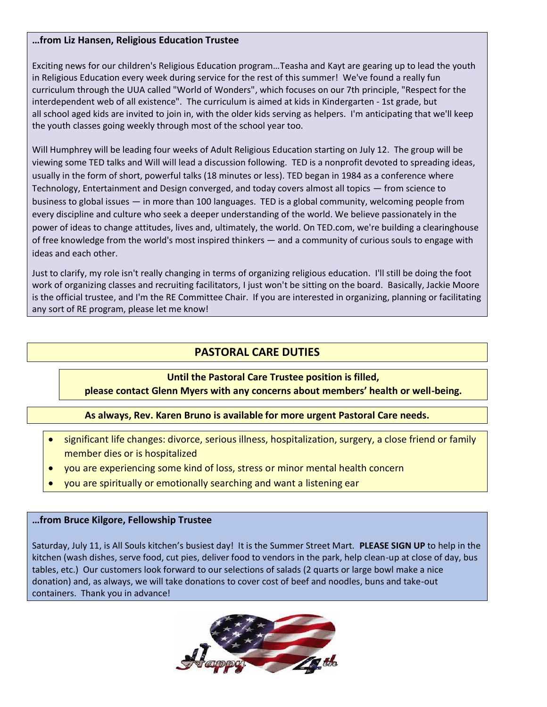#### **…from Liz Hansen, Religious Education Trustee**

Exciting news for our children's Religious Education program…Teasha and Kayt are gearing up to lead the youth in Religious Education every week during service for the rest of this summer! We've found a really fun curriculum through the UUA called "World of Wonders", which focuses on our 7th principle, "Respect for the interdependent web of all existence". The curriculum is aimed at kids in Kindergarten - 1st grade, but all school aged kids are invited to join in, with the older kids serving as helpers. I'm anticipating that we'll keep the youth classes going weekly through most of the school year too.

Will Humphrey will be leading four weeks of Adult Religious Education starting on July 12. The group will be viewing some TED talks and Will will lead a discussion following. TED is a nonprofit devoted to spreading ideas, usually in the form of short, powerful talks (18 minutes or less). TED began in 1984 as a conference where Technology, Entertainment and Design converged, and today covers almost all topics — from science to business to global issues — in more than 100 languages. TED is a global community, welcoming people from every discipline and culture who seek a deeper understanding of the world. We believe passionately in the power of ideas to change attitudes, lives and, ultimately, the world. On TED.com, we're building a clearinghouse of free knowledge from the world's most inspired thinkers — and a community of curious souls to engage with ideas and each other.

Just to clarify, my role isn't really changing in terms of organizing religious education. I'll still be doing the foot work of organizing classes and recruiting facilitators, I just won't be sitting on the board. Basically, Jackie Moore is the official trustee, and I'm the RE Committee Chair. If you are interested in organizing, planning or facilitating any sort of RE program, please let me know!

### **PASTORAL CARE DUTIES**

#### **Until the Pastoral Care Trustee position is filled,**

#### **please contact Glenn Myers with any concerns about members' health or well-being.**

#### **As always, Rev. Karen Bruno is available for more urgent Pastoral Care needs.**

- significant life changes: divorce, serious illness, hospitalization, surgery, a close friend or family member dies or is hospitalized
- you are experiencing some kind of loss, stress or minor mental health concern
- you are spiritually or emotionally searching and want a listening ear

#### **…from Bruce Kilgore, Fellowship Trustee**

Saturday, July 11, is All Souls kitchen's busiest day! It is the Summer Street Mart. **PLEASE SIGN UP** to help in the kitchen (wash dishes, serve food, cut pies, deliver food to vendors in the park, help clean-up at close of day, bus tables, etc.) Our customers look forward to our selections of salads (2 quarts or large bowl make a nice donation) and, as always, we will take donations to cover cost of beef and noodles, buns and take-out containers. Thank you in advance!

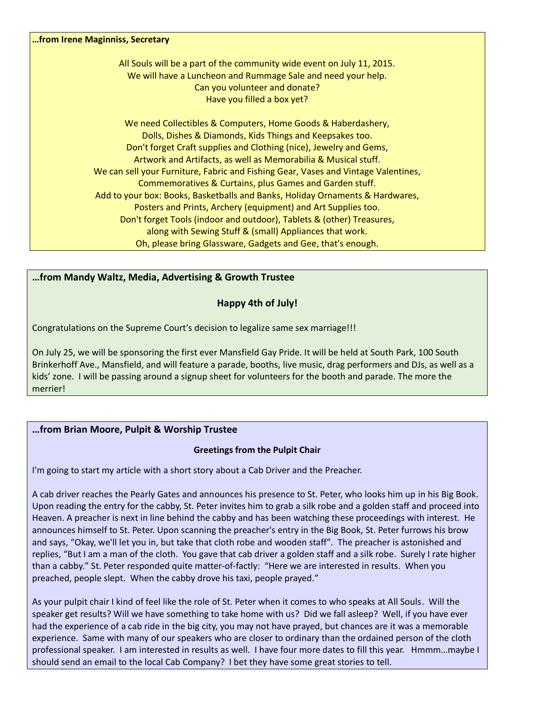| from Irene Maginniss, Secretary                                                                                                        |
|----------------------------------------------------------------------------------------------------------------------------------------|
| All Souls will be a part of the community wide event on July 11, 2015.<br>We will have a Luncheon and Rummage Sale and need your help. |
| Can you volunteer and donate?                                                                                                          |
| Have you filled a box yet?                                                                                                             |
| We need Collectibles & Computers, Home Goods & Haberdashery,                                                                           |
| Dolls, Dishes & Diamonds, Kids Things and Keepsakes too.                                                                               |
| Don't forget Craft supplies and Clothing (nice), Jewelry and Gems,                                                                     |
| Artwork and Artifacts, as well as Memorabilia & Musical stuff.                                                                         |
| We can sell your Furniture, Fabric and Fishing Gear, Vases and Vintage Valentines,                                                     |
| Commemoratives & Curtains, plus Games and Garden stuff.                                                                                |
| Add to your box: Books, Basketballs and Banks, Holiday Ornaments & Hardwares,                                                          |
| Posters and Prints, Archery (equipment) and Art Supplies too.                                                                          |
| Don't forget Tools (indoor and outdoor), Tablets & (other) Treasures,                                                                  |
| along with Sewing Stuff & (small) Appliances that work.                                                                                |
| Oh, please bring Glassware, Gadgets and Gee, that's enough.                                                                            |

#### **…from Mandy Waltz, Media, Advertising & Growth Trustee**

#### **Happy 4th of July!**

Congratulations on the Supreme Court's decision to legalize same sex marriage!!!

On July 25, we will be sponsoring the first ever Mansfield Gay Pride. It will be held at South Park, 100 South Brinkerhoff Ave., Mansfield, and will feature a parade, booths, live music, drag performers and DJs, as well as a kids' zone. I will be passing around a signup sheet for volunteers for the booth and parade. The more the merrier!

#### **…from Brian Moore, Pulpit & Worship Trustee**

#### **Greetings from the Pulpit Chair**

I'm going to start my article with a short story about a Cab Driver and the Preacher.

A cab driver reaches the Pearly Gates and announces his presence to St. Peter, who looks him up in his Big Book. Upon reading the entry for the cabby, St. Peter invites him to grab a silk robe and a golden staff and proceed into Heaven. A preacher is next in line behind the cabby and has been watching these proceedings with interest. He announces himself to St. Peter. Upon scanning the preacher's entry in the Big Book, St. Peter furrows his brow and says, "Okay, we'll let you in, but take that cloth robe and wooden staff". The preacher is astonished and replies, "But I am a man of the cloth. You gave that cab driver a golden staff and a silk robe. Surely I rate higher than a cabby." St. Peter responded quite matter-of-factly: "Here we are interested in results. When you preached, people slept. When the cabby drove his taxi, people prayed."

As your pulpit chair I kind of feel like the role of St. Peter when it comes to who speaks at All Souls. Will the speaker get results? Will we have something to take home with us? Did we fall asleep? Well, if you have ever had the experience of a cab ride in the big city, you may not have prayed, but chances are it was a memorable experience. Same with many of our speakers who are closer to ordinary than the ordained person of the cloth professional speaker. I am interested in results as well. I have four more dates to fill this year. Hmmm…maybe I should send an email to the local Cab Company? I bet they have some great stories to tell.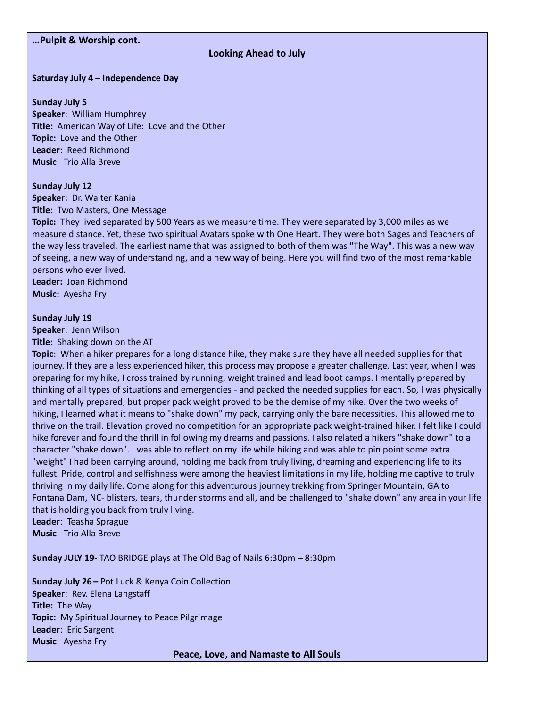#### **…Pulpit & Worship cont.**

#### **Looking Ahead to July**

#### **Saturday July 4 – Independence Day**

**Sunday July 5 Speaker**: William Humphrey **Title:** American Way of Life: Love and the Other **Topic:** Love and the Other **Leader**: Reed Richmond **Music**: Trio Alla Breve

#### **Sunday July 12**

**Speaker:** Dr. Walter Kania **Title**: Two Masters, One Message

**Topic:** They lived separated by 500 Years as we measure time. They were separated by 3,000 miles as we measure distance. Yet, these two spiritual Avatars spoke with One Heart. They were both Sages and Teachers of the way less traveled. The earliest name that was assigned to both of them was "The Way". This was a new way of seeing, a new way of understanding, and a new way of being. Here you will find two of the most remarkable persons who ever lived. **Leader:** Joan Richmond

**Music:** Ayesha Fry

#### **Sunday July 19**

**Speaker**: Jenn Wilson

**Title**: Shaking down on the AT

**Topic**: When a hiker prepares for a long distance hike, they make sure they have all needed supplies for that journey. If they are a less experienced hiker, this process may propose a greater challenge. Last year, when I was preparing for my hike, I cross trained by running, weight trained and lead boot camps. I mentally prepared by thinking of all types of situations and emergencies - and packed the needed supplies for each. So, I was physically and mentally prepared; but proper pack weight proved to be the demise of my hike. Over the two weeks of hiking, I learned what it means to "shake down" my pack, carrying only the bare necessities. This allowed me to thrive on the trail. Elevation proved no competition for an appropriate pack weight-trained hiker. I felt like I could hike forever and found the thrill in following my dreams and passions. I also related a hikers "shake down" to a character "shake down". I was able to reflect on my life while hiking and was able to pin point some extra "weight" I had been carrying around, holding me back from truly living, dreaming and experiencing life to its fullest. Pride, control and selfishness were among the heaviest limitations in my life, holding me captive to truly thriving in my daily life. Come along for this adventurous journey trekking from Springer Mountain, GA to Fontana Dam, NC- blisters, tears, thunder storms and all, and be challenged to "shake down" any area in your life that is holding you back from truly living.

**Leader**: Teasha Sprague **Music**: Trio Alla Breve

**Sunday JULY 19-** TAO BRIDGE plays at The Old Bag of Nails 6:30pm – 8:30pm

**Sunday July 26 –** Pot Luck & Kenya Coin Collection **Speaker**: Rev. Elena Langstaff **Title:** The Way **Topic:** My Spiritual Journey to Peace Pilgrimage **Leader**: Eric Sargent **Music**: Ayesha Fry

**Peace, Love, and Namaste to All Souls**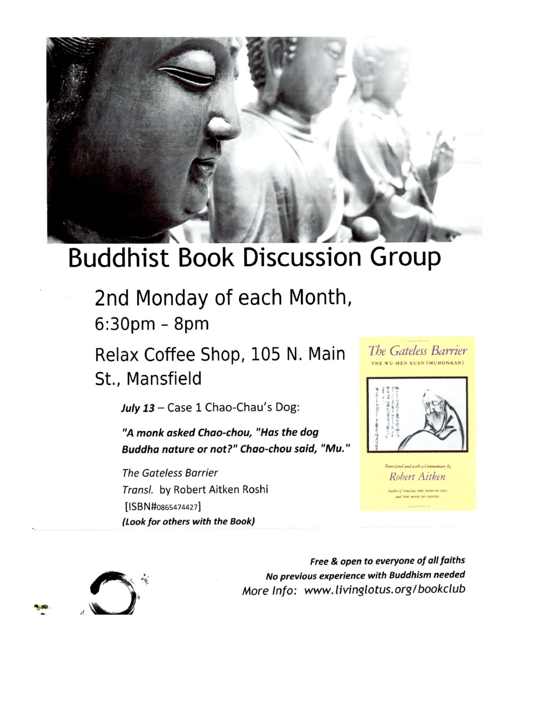

# **Buddhist Book Discussion Group**

2nd Monday of each Month,  $6:30<sub>pm</sub> - 8<sub>pm</sub>$ 

Relax Coffee Shop, 105 N. Main St., Mansfield

July 13 - Case 1 Chao-Chau's Dog:

"A monk asked Chao-chou, "Has the dog Buddha nature or not?" Chao-chou said, "Mu."

**The Gateless Barrier** Transl. by Robert Aitken Roshi [ISBN#0865474427] (Look for others with the Book)



Translated and with a Come Robert Aitken TAKING THE PATH OF ZEN



Free & open to everyone of all faiths No previous experience with Buddhism needed More Info: www.livinglotus.org/bookclub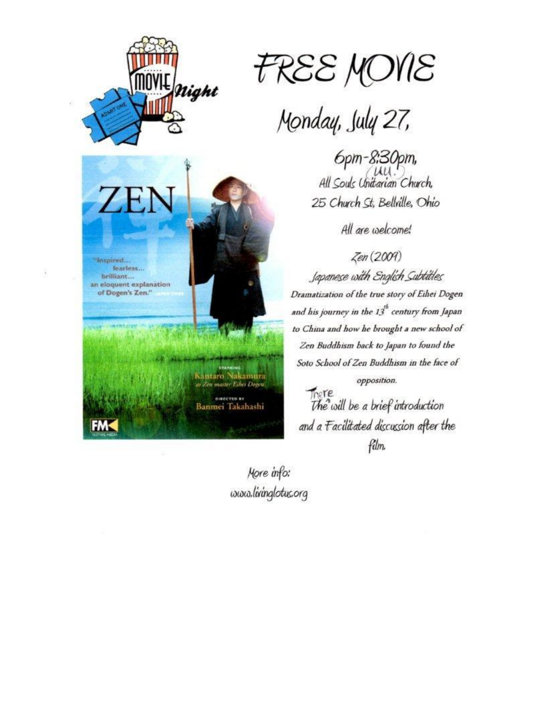

ZF

"Inspired...

brilliant... an eloquent explanation

fearless...

of Dogen's Zen."



Monday, July 27,

6pm-8:30pm,<br>all Souls Unitarian Church 25 Church St, Bellville, Ohio

All are welcome!

Zen (2009)

Japanese with English Subtitles Dramatization of the true story of Eihei Dogen and his journey in the  $13^{\text{th}}$  century from Japan to China and how he brought a new school of Zen Buddhism back to Japan to found the Soto School of Zen Buddhism in the face of opposition.

There<br>The will be a brief introduction and a Facilitated discussion after the film.

More info: www.livinglotus.org

ntaro Nakamura

as Zen master Eiher Dogen

**DIRECTED BY** Banmei Takahashi